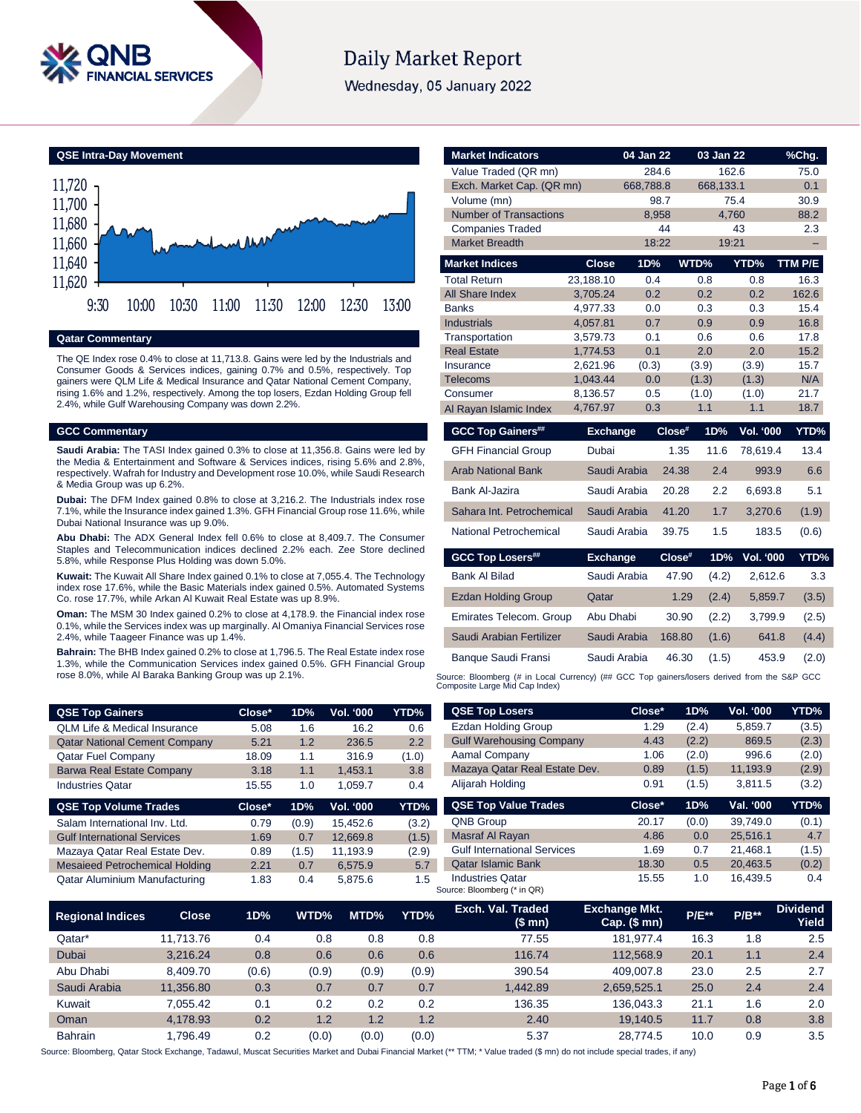

# **Daily Market Report**

Wednesday, 05 January 2022

**QSE Intra-Day Movement**



### **Qatar Commentary**

The QE Index rose 0.4% to close at 11,713.8. Gains were led by the Industrials and Consumer Goods & Services indices, gaining 0.7% and 0.5%, respectively. Top gainers were QLM Life & Medical Insurance and Qatar National Cement Company, rising 1.6% and 1.2%, respectively. Among the top losers, Ezdan Holding Group fell 2.4%, while Gulf Warehousing Company was down 2.2%.

#### **GCC Commentary**

**Saudi Arabia:** The TASI Index gained 0.3% to close at 11,356.8. Gains were led by the Media & Entertainment and Software & Services indices, rising 5.6% and 2.8%, respectively. Wafrah for Industry and Development rose 10.0%, while Saudi Research & Media Group was up 6.2%.

**Dubai:** The DFM Index gained 0.8% to close at 3,216.2. The Industrials index rose 7.1%, while the Insurance index gained 1.3%. GFH Financial Group rose 11.6%, while Dubai National Insurance was up 9.0%.

**Abu Dhabi:** The ADX General Index fell 0.6% to close at 8,409.7. The Consumer Staples and Telecommunication indices declined 2.2% each. Zee Store declined 5.8%, while Response Plus Holding was down 5.0%.

**Kuwait:** The Kuwait All Share Index gained 0.1% to close at 7,055.4. The Technology index rose 17.6%, while the Basic Materials index gained 0.5%. Automated Systems Co. rose 17.7%, while Arkan Al Kuwait Real Estate was up 8.9%.

**Oman:** The MSM 30 Index gained 0.2% to close at 4,178.9. the Financial index rose 0.1%, while the Services index was up marginally. Al Omaniya Financial Services rose 2.4%, while Taageer Finance was up 1.4%.

**Bahrain:** The BHB Index gained 0.2% to close at 1,796.5. The Real Estate index rose 1.3%, while the Communication Services index gained 0.5%. GFH Financial Group rose 8.0%, while Al Baraka Banking Group was up 2.1%.

| <b>QSE Top Gainers</b>                  | Close* | 1D%   | Vol. '000 | YTD%  |
|-----------------------------------------|--------|-------|-----------|-------|
| <b>QLM Life &amp; Medical Insurance</b> | 5.08   | 1.6   | 16.2      | 0.6   |
| <b>Qatar National Cement Company</b>    | 5.21   | 1.2   | 236.5     | 2.2   |
| <b>Qatar Fuel Company</b>               | 18.09  | 1.1   | 316.9     | (1.0) |
| <b>Barwa Real Estate Company</b>        | 3.18   | 1.1   | 1,453.1   | 3.8   |
| <b>Industries Qatar</b>                 | 15.55  | 1.0   | 1.059.7   | 0.4   |
| <b>QSE Top Volume Trades</b>            | Close* | 1D%   | Vol. '000 | YTD%  |
| Salam International Inv. Ltd.           | 0.79   | (0.9) | 15.452.6  | (3.2) |

| <b>QSE Top Volume Trades</b>          | Close* | 1D%   | <b>Vol. '000</b> | YTD% <sub>.</sub> |
|---------------------------------------|--------|-------|------------------|-------------------|
| Salam International Inv. Ltd.         | 0.79   | (0.9) | 15.452.6         | (3.2)             |
| <b>Gulf International Services</b>    | 1.69   | 0.7   | 12.669.8         | (1.5)             |
| Mazaya Qatar Real Estate Dev.         | 0.89   | (1.5) | 11.193.9         | (2.9)             |
| <b>Mesaieed Petrochemical Holding</b> | 2.21   | 0.7   | 6.575.9          | 5.7               |
| Qatar Aluminium Manufacturing         | 1.83   | 0.4   | 5.875.6          | 1.5               |
|                                       |        |       |                  |                   |

| <b>Market Indicators</b>       |                      | 04 Jan 22  |        | 03 Jan 22      |                  | %Chg.       |
|--------------------------------|----------------------|------------|--------|----------------|------------------|-------------|
| Value Traded (QR mn)           |                      | 284.6      |        | 162.6          |                  | 75.0        |
| Exch. Market Cap. (QR mn)      |                      | 668,788.8  |        | 668,133.1      |                  | 0.1         |
| Volume (mn)                    |                      | 98.7       |        | 75.4           |                  | 30.9        |
| <b>Number of Transactions</b>  |                      | 8,958      |        | 4,760          |                  | 88.2        |
| <b>Companies Traded</b>        |                      | 44         |        |                | 43               | 2.3         |
| <b>Market Breadth</b>          |                      | 18:22      |        | 19:21          |                  |             |
| <b>Market Indices</b>          | <b>Close</b>         | 1D%        | WTD%   |                | YTD%             | TTM P/E     |
| <b>Total Return</b>            | 23,188.10            | 0.4        |        | 0.8            | 0.8              | 16.3        |
| All Share Index                | 3,705.24             | 0.2        |        | 0.2            | 0.2              | 162.6       |
| <b>Banks</b>                   | 4,977.33             | 0.0        |        | 0.3            | 0.3              | 15.4        |
| <b>Industrials</b>             | 4,057.81             | 0.7        |        | 0.9            | 0.9              | 16.8        |
| Transportation                 | 3,579.73             | 0.1        |        | 0.6            | 0.6              | 17.8        |
| <b>Real Estate</b>             | 1,774.53             | 0.1        |        | 2.0            | 2.0              | 15.2        |
| Insurance                      | 2,621.96             | (0.3)      |        | (3.9)          | (3.9)            | 15.7        |
| Telecoms<br>Consumer           | 1,043.44<br>8,136.57 | 0.0<br>0.5 |        | (1.3)<br>(1.0) | (1.3)            | N/A<br>21.7 |
| Al Rayan Islamic Index         | 4,767.97             | 0.3        |        | 1.1            | (1.0)<br>1.1     | 18.7        |
|                                |                      |            |        |                |                  |             |
| <b>GCC Top Gainers##</b>       | <b>Exchange</b>      |            | Close# | 1D%            | Vol. '000        | YTD%        |
| <b>GFH Financial Group</b>     | Dubai                |            | 1.35   | 11.6           | 78,619.4         | 13.4        |
| <b>Arab National Bank</b>      | Saudi Arabia         |            | 24.38  | 2.4            | 993.9            | 6.6         |
| Bank Al-Jazira                 | Saudi Arabia         |            | 20.28  | 2.2            | 6,693.8          | 5.1         |
| Sahara Int. Petrochemical      | Saudi Arabia         |            | 41.20  | 1.7            | 3,270.6          | (1.9)       |
| National Petrochemical         | Saudi Arabia         |            | 39.75  | 1.5            | 183.5            | (0.6)       |
| <b>GCC Top Losers##</b>        | <b>Exchange</b>      |            | Close# | 1D%            | <b>Vol. '000</b> | YTD%        |
| <b>Bank Al Bilad</b>           | Saudi Arabia         |            | 47.90  | (4.2)          | 2,612.6          | 3.3         |
| <b>Ezdan Holding Group</b>     | Qatar                |            | 1.29   | (2.4)          | 5,859.7          | (3.5)       |
| <b>Emirates Telecom. Group</b> | Abu Dhabi            |            | 30.90  | (2.2)          | 3,799.9          | (2.5)       |
| Saudi Arabian Fertilizer       | Saudi Arabia         |            | 168.80 | (1.6)          | 641.8            | (4.4)       |
| Banque Saudi Fransi            | Saudi Arabia         |            | 46.30  | (1.5)          | 453.9            | (2.0)       |

Source: Bloomberg (# in Local Currency) (## GCC Top gainers/losers derived from the S&P GCC<br>Composite Large Mid Cap Index)

| <b>QSE Top Losers</b>              | Close* | 1D%   | <b>Vol. '000</b> | YTD%  |
|------------------------------------|--------|-------|------------------|-------|
| Ezdan Holding Group                | 1.29   | (2.4) | 5,859.7          | (3.5) |
| <b>Gulf Warehousing Company</b>    | 4.43   | (2.2) | 869.5            | (2.3) |
| Aamal Company                      | 1.06   | (2.0) | 996.6            | (2.0) |
| Mazaya Qatar Real Estate Dev.      | 0.89   | (1.5) | 11,193.9         | (2.9) |
| Alijarah Holding                   | 0.91   | (1.5) | 3.811.5          | (3.2) |
| <b>QSE Top Value Trades</b>        | Close* | 1D%   |                  |       |
|                                    |        |       | Val. '000        | YTD%  |
| <b>QNB Group</b>                   | 20.17  | (0.0) | 39.749.0         | (0.1) |
| Masraf Al Rayan                    | 4.86   | 0.0   | 25.516.1         | 4.7   |
| <b>Gulf International Services</b> | 1.69   | 0.7   | 21,468.1         | (1.5) |
| <b>Qatar Islamic Bank</b>          | 18.30  | 0.5   | 20,463.5         | (0.2) |

| <b>Regional Indices</b> | <b>Close</b> | 1D%   | WTD%  | MTD%  | YTD%  | Exch. Val. Traded<br>(\$mn) | <b>Exchange Mkt.</b><br>$Cap.$ (\$ mn) | <b>P/E**</b> | $P/B**$ | <b>Dividend</b><br>Yield |
|-------------------------|--------------|-------|-------|-------|-------|-----------------------------|----------------------------------------|--------------|---------|--------------------------|
| Qatar*                  | 11.713.76    | 0.4   | 0.8   | 0.8   | 0.8   | 77.55                       | 181.977.4                              | 16.3         | 1.8     | 2.5                      |
| <b>Dubai</b>            | 3.216.24     | 0.8   | 0.6   | 0.6   | 0.6   | 116.74                      | 112.568.9                              | 20.1         | 1.1     | 2.4                      |
| Abu Dhabi               | 8.409.70     | (0.6) | (0.9) | (0.9) | (0.9) | 390.54                      | 409.007.8                              | 23.0         | 2.5     | 2.7                      |
| Saudi Arabia            | 11.356.80    | 0.3   | 0.7   | 0.7   | 0.7   | 1.442.89                    | 2.659.525.1                            | 25.0         | 2.4     | 2.4                      |
| Kuwait                  | 7.055.42     | 0.1   | 0.2   | 0.2   | 0.2   | 136.35                      | 136.043.3                              | 21.1         | 1.6     | 2.0                      |
| Oman                    | 4.178.93     | 0.2   | 1.2   | 1.2   | 1.2   | 2.40                        | 19.140.5                               | 11.7         | 0.8     | 3.8                      |
| <b>Bahrain</b>          | 1.796.49     | 0.2   | (0.0) | (0.0) | (0.0) | 5.37                        | 28.774.5                               | 10.0         | 0.9     | 3.5                      |

Source: Bloomberg, Qatar Stock Exchange, Tadawul, Muscat Securities Market and Dubai Financial Market (\*\* TTM; \* Value traded (\$ mn) do not include special trades, if any)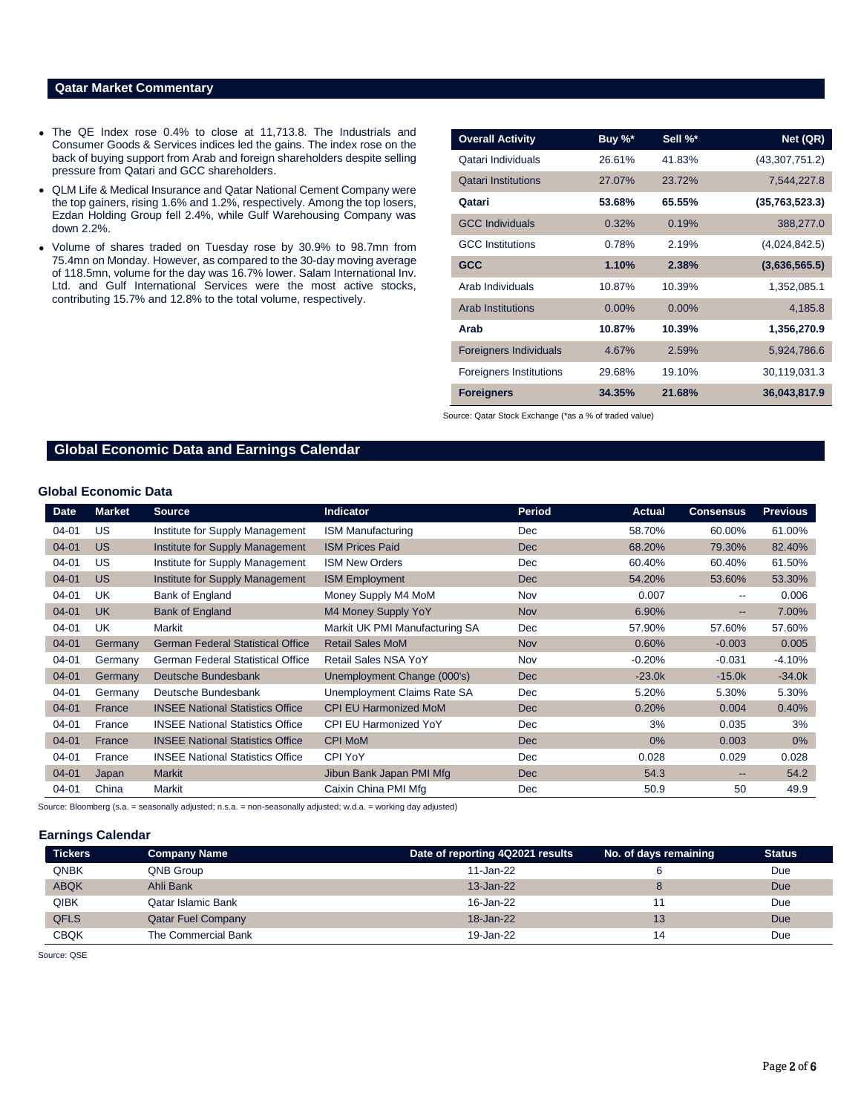# **Qatar Market Commentary**

- The QE Index rose 0.4% to close at 11,713.8. The Industrials and Consumer Goods & Services indices led the gains. The index rose on the back of buying support from Arab and foreign shareholders despite selling pressure from Qatari and GCC shareholders.
- QLM Life & Medical Insurance and Qatar National Cement Company were the top gainers, rising 1.6% and 1.2%, respectively. Among the top losers, Ezdan Holding Group fell 2.4%, while Gulf Warehousing Company was down 2.2%.
- Volume of shares traded on Tuesday rose by 30.9% to 98.7mn from 75.4mn on Monday. However, as compared to the 30-day moving average of 118.5mn, volume for the day was 16.7% lower. Salam International Inv. Ltd. and Gulf International Services were the most active stocks, contributing 15.7% and 12.8% to the total volume, respectively.

| <b>Overall Activity</b>        | Buy %*   | Sell %*  | Net (QR)       |
|--------------------------------|----------|----------|----------------|
| Qatari Individuals             | 26.61%   | 41.83%   | (43,307,751.2) |
| <b>Qatari Institutions</b>     | 27.07%   | 23.72%   | 7,544,227.8    |
| Qatari                         | 53.68%   | 65.55%   | (35,763,523.3) |
| <b>GCC Individuals</b>         | 0.32%    | 0.19%    | 388,277.0      |
| <b>GCC</b> Institutions        | 0.78%    | 2.19%    | (4,024,842.5)  |
| <b>GCC</b>                     | 1.10%    | 2.38%    | (3,636,565.5)  |
| Arab Individuals               | 10.87%   | 10.39%   | 1,352,085.1    |
| <b>Arab Institutions</b>       | $0.00\%$ | $0.00\%$ | 4,185.8        |
| Arab                           | 10.87%   | 10.39%   | 1,356,270.9    |
| <b>Foreigners Individuals</b>  | 4.67%    | 2.59%    | 5,924,786.6    |
| <b>Foreigners Institutions</b> | 29.68%   | 19.10%   | 30,119,031.3   |
| <b>Foreigners</b>              | 34.35%   | 21.68%   | 36,043,817.9   |

Source: Qatar Stock Exchange (\*as a % of traded value)

# **Global Economic Data and Earnings Calendar**

### **Global Economic Data**

| <b>Date</b> | <b>Market</b> | <b>Source</b>                            | <b>Indicator</b>               | <b>Period</b> | <b>Actual</b> | <b>Consensus</b> | <b>Previous</b> |
|-------------|---------------|------------------------------------------|--------------------------------|---------------|---------------|------------------|-----------------|
| 04-01       | US            | Institute for Supply Management          | <b>ISM Manufacturing</b>       | Dec           | 58.70%        | 60.00%           | 61.00%          |
| $04 - 01$   | <b>US</b>     | Institute for Supply Management          | <b>ISM Prices Paid</b>         | <b>Dec</b>    | 68.20%        | 79.30%           | 82.40%          |
| $04 - 01$   | <b>US</b>     | Institute for Supply Management          | <b>ISM New Orders</b>          | Dec           | 60.40%        | 60.40%           | 61.50%          |
| 04-01       | <b>US</b>     | Institute for Supply Management          | <b>ISM Employment</b>          | <b>Dec</b>    | 54.20%        | 53.60%           | 53.30%          |
| $04 - 01$   | UK            | Bank of England                          | Money Supply M4 MoM            | Nov           | 0.007         | --               | 0.006           |
| 04-01       | <b>UK</b>     | <b>Bank of England</b>                   | M4 Money Supply YoY            | Nov           | 6.90%         | --               | 7.00%           |
| $04 - 01$   | UK            | Markit                                   | Markit UK PMI Manufacturing SA | Dec           | 57.90%        | 57.60%           | 57.60%          |
| 04-01       | Germany       | <b>German Federal Statistical Office</b> | <b>Retail Sales MoM</b>        | Nov           | 0.60%         | $-0.003$         | 0.005           |
| 04-01       | Germany       | <b>German Federal Statistical Office</b> | <b>Retail Sales NSA YoY</b>    | Nov           | $-0.20%$      | $-0.031$         | $-4.10%$        |
| $04 - 01$   | Germany       | Deutsche Bundesbank                      | Unemployment Change (000's)    | <b>Dec</b>    | $-23.0k$      | $-15.0k$         | $-34.0k$        |
| 04-01       | Germany       | Deutsche Bundesbank                      | Unemployment Claims Rate SA    | <b>Dec</b>    | 5.20%         | 5.30%            | 5.30%           |
| $04 - 01$   | France        | <b>INSEE National Statistics Office</b>  | <b>CPI EU Harmonized MoM</b>   | <b>Dec</b>    | 0.20%         | 0.004            | 0.40%           |
| 04-01       | France        | <b>INSEE National Statistics Office</b>  | CPI EU Harmonized YoY          | <b>Dec</b>    | 3%            | 0.035            | 3%              |
| $04 - 01$   | France        | <b>INSEE National Statistics Office</b>  | <b>CPI MoM</b>                 | <b>Dec</b>    | 0%            | 0.003            | $0\%$           |
| 04-01       | France        | <b>INSEE National Statistics Office</b>  | <b>CPI YoY</b>                 | Dec           | 0.028         | 0.029            | 0.028           |
| 04-01       | Japan         | <b>Markit</b>                            | Jibun Bank Japan PMI Mfg       | Dec           | 54.3          | --               | 54.2            |
| $04 - 01$   | China         | Markit                                   | Caixin China PMI Mfg           | Dec           | 50.9          | 50               | 49.9            |

Source: Bloomberg (s.a. = seasonally adjusted; n.s.a. = non-seasonally adjusted; w.d.a. = working day adjusted)

### **Earnings Calendar**

| <b>Tickers</b> | <b>Company Name</b>       | Date of reporting 4Q2021 results | No. of days remaining | <b>Status</b> |
|----------------|---------------------------|----------------------------------|-----------------------|---------------|
| <b>QNBK</b>    | QNB Group                 | $11$ -Jan-22                     |                       | Due           |
| <b>ABQK</b>    | Ahli Bank                 | $13 - Jan-22$                    |                       | <b>Due</b>    |
| QIBK           | Qatar Islamic Bank        | 16-Jan-22                        | 11                    | Due           |
| <b>QFLS</b>    | <b>Qatar Fuel Company</b> | 18-Jan-22                        | 13                    | <b>Due</b>    |
| <b>CBQK</b>    | The Commercial Bank       | 19-Jan-22                        | 14                    | Due           |

Source: QSE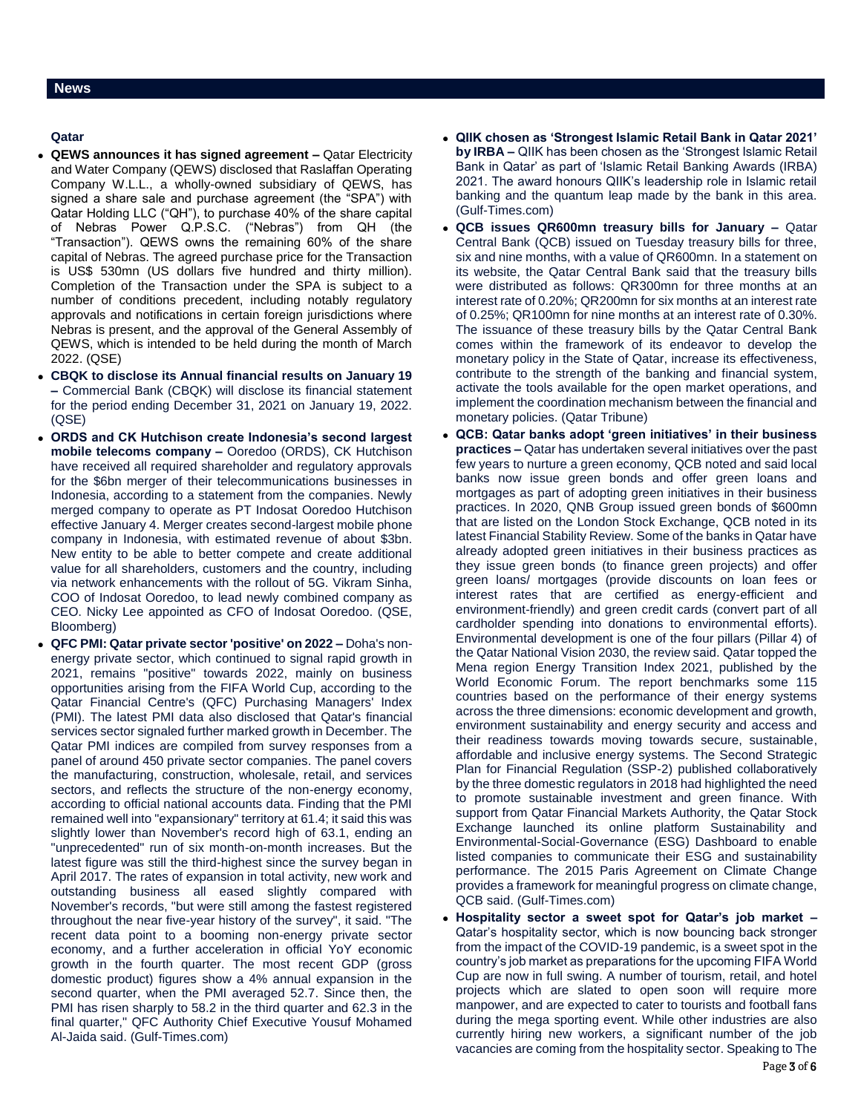# **Qatar**

- **QEWS announces it has signed agreement –** Qatar Electricity and Water Company (QEWS) disclosed that Raslaffan Operating Company W.L.L., a wholly-owned subsidiary of QEWS, has signed a share sale and purchase agreement (the "SPA") with Qatar Holding LLC ("QH"), to purchase 40% of the share capital of Nebras Power Q.P.S.C. ("Nebras") from QH (the "Transaction"). QEWS owns the remaining 60% of the share capital of Nebras. The agreed purchase price for the Transaction is US\$ 530mn (US dollars five hundred and thirty million). Completion of the Transaction under the SPA is subject to a number of conditions precedent, including notably regulatory approvals and notifications in certain foreign jurisdictions where Nebras is present, and the approval of the General Assembly of QEWS, which is intended to be held during the month of March 2022. (QSE)
- **CBQK to disclose its Annual financial results on January 19 –** Commercial Bank (CBQK) will disclose its financial statement for the period ending December 31, 2021 on January 19, 2022. (QSE)
- **ORDS and CK Hutchison create Indonesia's second largest mobile telecoms company –** Ooredoo (ORDS), CK Hutchison have received all required shareholder and regulatory approvals for the \$6bn merger of their telecommunications businesses in Indonesia, according to a statement from the companies. Newly merged company to operate as PT Indosat Ooredoo Hutchison effective January 4. Merger creates second-largest mobile phone company in Indonesia, with estimated revenue of about \$3bn. New entity to be able to better compete and create additional value for all shareholders, customers and the country, including via network enhancements with the rollout of 5G. Vikram Sinha, COO of Indosat Ooredoo, to lead newly combined company as CEO. Nicky Lee appointed as CFO of Indosat Ooredoo. (QSE, Bloomberg)
- **QFC PMI: Qatar private sector 'positive' on 2022 –** Doha's nonenergy private sector, which continued to signal rapid growth in 2021, remains "positive" towards 2022, mainly on business opportunities arising from the FIFA World Cup, according to the Qatar Financial Centre's (QFC) Purchasing Managers' Index (PMI). The latest PMI data also disclosed that Qatar's financial services sector signaled further marked growth in December. The Qatar PMI indices are compiled from survey responses from a panel of around 450 private sector companies. The panel covers the manufacturing, construction, wholesale, retail, and services sectors, and reflects the structure of the non-energy economy, according to official national accounts data. Finding that the PMI remained well into "expansionary" territory at 61.4; it said this was slightly lower than November's record high of 63.1, ending an "unprecedented" run of six month-on-month increases. But the latest figure was still the third-highest since the survey began in April 2017. The rates of expansion in total activity, new work and outstanding business all eased slightly compared with November's records, "but were still among the fastest registered throughout the near five-year history of the survey", it said. "The recent data point to a booming non-energy private sector economy, and a further acceleration in official YoY economic growth in the fourth quarter. The most recent GDP (gross domestic product) figures show a 4% annual expansion in the second quarter, when the PMI averaged 52.7. Since then, the PMI has risen sharply to 58.2 in the third quarter and 62.3 in the final quarter," QFC Authority Chief Executive Yousuf Mohamed Al-Jaida said. (Gulf-Times.com)
- **QIIK chosen as 'Strongest Islamic Retail Bank in Qatar 2021' by IRBA –** QIIK has been chosen as the 'Strongest Islamic Retail Bank in Qatar' as part of 'Islamic Retail Banking Awards (IRBA) 2021. The award honours QIIK's leadership role in Islamic retail banking and the quantum leap made by the bank in this area. (Gulf-Times.com)
- **QCB issues QR600mn treasury bills for January –** Qatar Central Bank (QCB) issued on Tuesday treasury bills for three, six and nine months, with a value of QR600mn. In a statement on its website, the Qatar Central Bank said that the treasury bills were distributed as follows: QR300mn for three months at an interest rate of 0.20%; QR200mn for six months at an interest rate of 0.25%; QR100mn for nine months at an interest rate of 0.30%. The issuance of these treasury bills by the Qatar Central Bank comes within the framework of its endeavor to develop the monetary policy in the State of Qatar, increase its effectiveness, contribute to the strength of the banking and financial system, activate the tools available for the open market operations, and implement the coordination mechanism between the financial and monetary policies. (Qatar Tribune)
- **QCB: Qatar banks adopt 'green initiatives' in their business practices –** Qatar has undertaken several initiatives over the past few years to nurture a green economy, QCB noted and said local banks now issue green bonds and offer green loans and mortgages as part of adopting green initiatives in their business practices. In 2020, QNB Group issued green bonds of \$600mn that are listed on the London Stock Exchange, QCB noted in its latest Financial Stability Review. Some of the banks in Qatar have already adopted green initiatives in their business practices as they issue green bonds (to finance green projects) and offer green loans/ mortgages (provide discounts on loan fees or interest rates that are certified as energy-efficient and environment-friendly) and green credit cards (convert part of all cardholder spending into donations to environmental efforts). Environmental development is one of the four pillars (Pillar 4) of the Qatar National Vision 2030, the review said. Qatar topped the Mena region Energy Transition Index 2021, published by the World Economic Forum. The report benchmarks some 115 countries based on the performance of their energy systems across the three dimensions: economic development and growth, environment sustainability and energy security and access and their readiness towards moving towards secure, sustainable, affordable and inclusive energy systems. The Second Strategic Plan for Financial Regulation (SSP-2) published collaboratively by the three domestic regulators in 2018 had highlighted the need to promote sustainable investment and green finance. With support from Qatar Financial Markets Authority, the Qatar Stock Exchange launched its online platform Sustainability and Environmental-Social-Governance (ESG) Dashboard to enable listed companies to communicate their ESG and sustainability performance. The 2015 Paris Agreement on Climate Change provides a framework for meaningful progress on climate change, QCB said. (Gulf-Times.com)
- **Hospitality sector a sweet spot for Qatar's job market –** Qatar's hospitality sector, which is now bouncing back stronger from the impact of the COVID-19 pandemic, is a sweet spot in the country's job market as preparations for the upcoming FIFA World Cup are now in full swing. A number of tourism, retail, and hotel projects which are slated to open soon will require more manpower, and are expected to cater to tourists and football fans during the mega sporting event. While other industries are also currently hiring new workers, a significant number of the job vacancies are coming from the hospitality sector. Speaking to The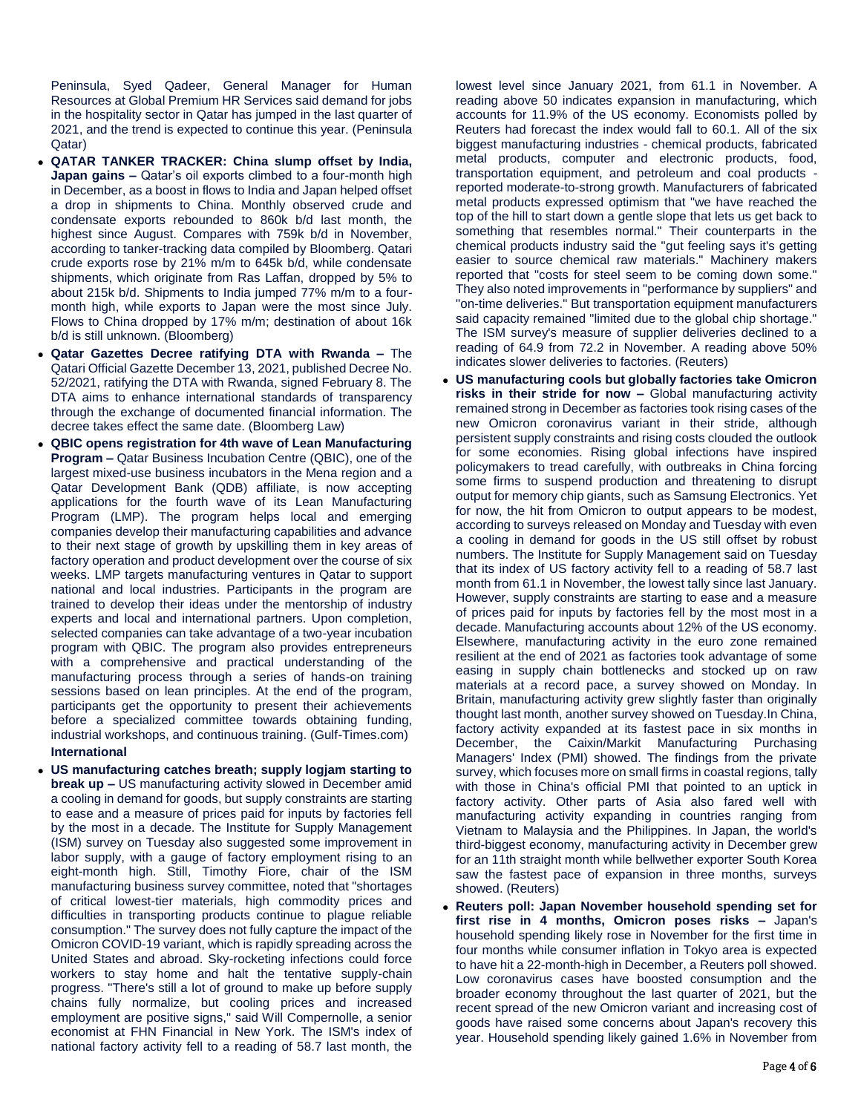Peninsula, Syed Qadeer, General Manager for Human Resources at Global Premium HR Services said demand for jobs in the hospitality sector in Qatar has jumped in the last quarter of 2021, and the trend is expected to continue this year. (Peninsula Qatar)

- **QATAR TANKER TRACKER: China slump offset by India, Japan gains –** Qatar's oil exports climbed to a four-month high in December, as a boost in flows to India and Japan helped offset a drop in shipments to China. Monthly observed crude and condensate exports rebounded to 860k b/d last month, the highest since August. Compares with 759k b/d in November, according to tanker-tracking data compiled by Bloomberg. Qatari crude exports rose by 21% m/m to 645k b/d, while condensate shipments, which originate from Ras Laffan, dropped by 5% to about 215k b/d. Shipments to India jumped 77% m/m to a fourmonth high, while exports to Japan were the most since July. Flows to China dropped by 17% m/m; destination of about 16k b/d is still unknown. (Bloomberg)
- **Qatar Gazettes Decree ratifying DTA with Rwanda –** The Qatari Official Gazette December 13, 2021, published Decree No. 52/2021, ratifying the DTA with Rwanda, signed February 8. The DTA aims to enhance international standards of transparency through the exchange of documented financial information. The decree takes effect the same date. (Bloomberg Law)
- **QBIC opens registration for 4th wave of Lean Manufacturing Program –** Qatar Business Incubation Centre (QBIC), one of the largest mixed-use business incubators in the Mena region and a Qatar Development Bank (QDB) affiliate, is now accepting applications for the fourth wave of its Lean Manufacturing Program (LMP). The program helps local and emerging companies develop their manufacturing capabilities and advance to their next stage of growth by upskilling them in key areas of factory operation and product development over the course of six weeks. LMP targets manufacturing ventures in Qatar to support national and local industries. Participants in the program are trained to develop their ideas under the mentorship of industry experts and local and international partners. Upon completion, selected companies can take advantage of a two-year incubation program with QBIC. The program also provides entrepreneurs with a comprehensive and practical understanding of the manufacturing process through a series of hands-on training sessions based on lean principles. At the end of the program, participants get the opportunity to present their achievements before a specialized committee towards obtaining funding, industrial workshops, and continuous training. (Gulf-Times.com) **International**
- **US manufacturing catches breath; supply logjam starting to break up –** US manufacturing activity slowed in December amid a cooling in demand for goods, but supply constraints are starting to ease and a measure of prices paid for inputs by factories fell by the most in a decade. The Institute for Supply Management (ISM) survey on Tuesday also suggested some improvement in labor supply, with a gauge of factory employment rising to an eight-month high. Still, Timothy Fiore, chair of the ISM manufacturing business survey committee, noted that "shortages of critical lowest-tier materials, high commodity prices and difficulties in transporting products continue to plague reliable consumption." The survey does not fully capture the impact of the Omicron COVID-19 variant, which is rapidly spreading across the United States and abroad. Sky-rocketing infections could force workers to stay home and halt the tentative supply-chain progress. "There's still a lot of ground to make up before supply chains fully normalize, but cooling prices and increased employment are positive signs," said Will Compernolle, a senior economist at FHN Financial in New York. The ISM's index of national factory activity fell to a reading of 58.7 last month, the

lowest level since January 2021, from 61.1 in November. A reading above 50 indicates expansion in manufacturing, which accounts for 11.9% of the US economy. Economists polled by Reuters had forecast the index would fall to 60.1. All of the six biggest manufacturing industries - chemical products, fabricated metal products, computer and electronic products, food, transportation equipment, and petroleum and coal products reported moderate-to-strong growth. Manufacturers of fabricated metal products expressed optimism that "we have reached the top of the hill to start down a gentle slope that lets us get back to something that resembles normal." Their counterparts in the chemical products industry said the "gut feeling says it's getting easier to source chemical raw materials." Machinery makers reported that "costs for steel seem to be coming down some." They also noted improvements in "performance by suppliers" and "on-time deliveries." But transportation equipment manufacturers said capacity remained "limited due to the global chip shortage." The ISM survey's measure of supplier deliveries declined to a reading of 64.9 from 72.2 in November. A reading above 50% indicates slower deliveries to factories. (Reuters)

- **US manufacturing cools but globally factories take Omicron risks in their stride for now –** Global manufacturing activity remained strong in December as factories took rising cases of the new Omicron coronavirus variant in their stride, although persistent supply constraints and rising costs clouded the outlook for some economies. Rising global infections have inspired policymakers to tread carefully, with outbreaks in China forcing some firms to suspend production and threatening to disrupt output for memory chip giants, such as Samsung Electronics. Yet for now, the hit from Omicron to output appears to be modest, according to surveys released on Monday and Tuesday with even a cooling in demand for goods in the US still offset by robust numbers. The Institute for Supply Management said on Tuesday that its index of US factory activity fell to a reading of 58.7 last month from 61.1 in November, the lowest tally since last January. However, supply constraints are starting to ease and a measure of prices paid for inputs by factories fell by the most most in a decade. Manufacturing accounts about 12% of the US economy. Elsewhere, manufacturing activity in the euro zone remained resilient at the end of 2021 as factories took advantage of some easing in supply chain bottlenecks and stocked up on raw materials at a record pace, a survey showed on Monday. In Britain, manufacturing activity grew slightly faster than originally thought last month, another survey showed on Tuesday.In China, factory activity expanded at its fastest pace in six months in December, the Caixin/Markit Manufacturing Purchasing Managers' Index (PMI) showed. The findings from the private survey, which focuses more on small firms in coastal regions, tally with those in China's official PMI that pointed to an uptick in factory activity. Other parts of Asia also fared well with manufacturing activity expanding in countries ranging from Vietnam to Malaysia and the Philippines. In Japan, the world's third-biggest economy, manufacturing activity in December grew for an 11th straight month while bellwether exporter South Korea saw the fastest pace of expansion in three months, surveys showed. (Reuters)
- **Reuters poll: Japan November household spending set for first rise in 4 months, Omicron poses risks –** Japan's household spending likely rose in November for the first time in four months while consumer inflation in Tokyo area is expected to have hit a 22-month-high in December, a Reuters poll showed. Low coronavirus cases have boosted consumption and the broader economy throughout the last quarter of 2021, but the recent spread of the new Omicron variant and increasing cost of goods have raised some concerns about Japan's recovery this year. Household spending likely gained 1.6% in November from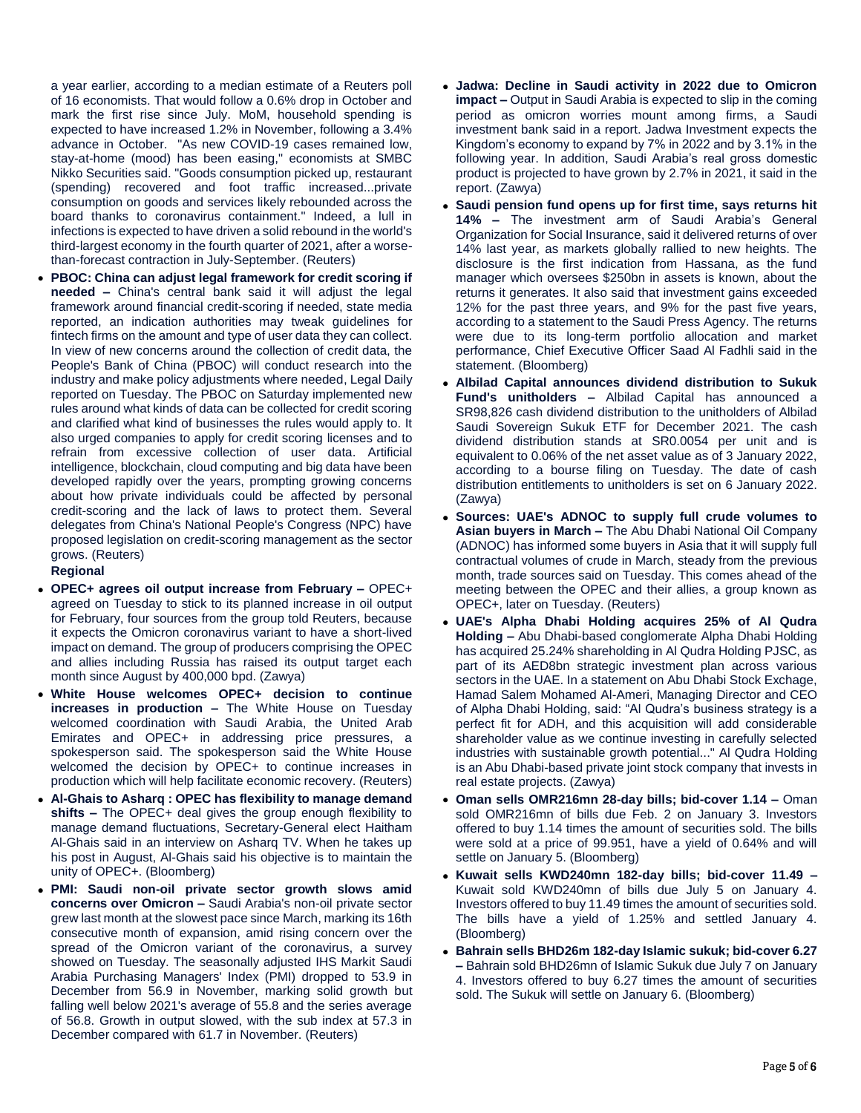a year earlier, according to a median estimate of a Reuters poll of 16 economists. That would follow a 0.6% drop in October and mark the first rise since July. MoM, household spending is expected to have increased 1.2% in November, following a 3.4% advance in October. "As new COVID-19 cases remained low, stay-at-home (mood) has been easing," economists at SMBC Nikko Securities said. "Goods consumption picked up, restaurant (spending) recovered and foot traffic increased...private consumption on goods and services likely rebounded across the board thanks to coronavirus containment." Indeed, a lull in infections is expected to have driven a solid rebound in the world's third-largest economy in the fourth quarter of 2021, after a worsethan-forecast contraction in July-September. (Reuters)

 **PBOC: China can adjust legal framework for credit scoring if needed –** China's central bank said it will adjust the legal framework around financial credit-scoring if needed, state media reported, an indication authorities may tweak guidelines for fintech firms on the amount and type of user data they can collect. In view of new concerns around the collection of credit data, the People's Bank of China (PBOC) will conduct research into the industry and make policy adjustments where needed, Legal Daily reported on Tuesday. The PBOC on Saturday implemented new rules around what kinds of data can be collected for credit scoring and clarified what kind of businesses the rules would apply to. It also urged companies to apply for credit scoring licenses and to refrain from excessive collection of user data. Artificial intelligence, blockchain, cloud computing and big data have been developed rapidly over the years, prompting growing concerns about how private individuals could be affected by personal credit-scoring and the lack of laws to protect them. Several delegates from China's National People's Congress (NPC) have proposed legislation on credit-scoring management as the sector grows. (Reuters)

## **Regional**

- **OPEC+ agrees oil output increase from February –** OPEC+ agreed on Tuesday to stick to its planned increase in oil output for February, four sources from the group told Reuters, because it expects the Omicron coronavirus variant to have a short-lived impact on demand. The group of producers comprising the OPEC and allies including Russia has raised its output target each month since August by 400,000 bpd. (Zawya)
- **White House welcomes OPEC+ decision to continue increases in production –** The White House on Tuesday welcomed coordination with Saudi Arabia, the United Arab Emirates and OPEC+ in addressing price pressures, a spokesperson said. The spokesperson said the White House welcomed the decision by OPEC+ to continue increases in production which will help facilitate economic recovery. (Reuters)
- **Al-Ghais to Asharq : OPEC has flexibility to manage demand shifts –** The OPEC+ deal gives the group enough flexibility to manage demand fluctuations, Secretary-General elect Haitham Al-Ghais said in an interview on Asharq TV. When he takes up his post in August, Al-Ghais said his objective is to maintain the unity of OPEC+. (Bloomberg)
- **PMI: Saudi non-oil private sector growth slows amid concerns over Omicron –** Saudi Arabia's non-oil private sector grew last month at the slowest pace since March, marking its 16th consecutive month of expansion, amid rising concern over the spread of the Omicron variant of the coronavirus, a survey showed on Tuesday. The seasonally adjusted IHS Markit Saudi Arabia Purchasing Managers' Index (PMI) dropped to 53.9 in December from 56.9 in November, marking solid growth but falling well below 2021's average of 55.8 and the series average of 56.8. Growth in output slowed, with the sub index at 57.3 in December compared with 61.7 in November. (Reuters)
- **Jadwa: Decline in Saudi activity in 2022 due to Omicron impact –** Output in Saudi Arabia is expected to slip in the coming period as omicron worries mount among firms, a Saudi investment bank said in a report. Jadwa Investment expects the Kingdom's economy to expand by 7% in 2022 and by 3.1% in the following year. In addition, Saudi Arabia's real gross domestic product is projected to have grown by 2.7% in 2021, it said in the report. (Zawya)
- **Saudi pension fund opens up for first time, says returns hit 14% –** The investment arm of Saudi Arabia's General Organization for Social Insurance, said it delivered returns of over 14% last year, as markets globally rallied to new heights. The disclosure is the first indication from Hassana, as the fund manager which oversees \$250bn in assets is known, about the returns it generates. It also said that investment gains exceeded 12% for the past three years, and 9% for the past five years, according to a statement to the Saudi Press Agency. The returns were due to its long-term portfolio allocation and market performance, Chief Executive Officer Saad Al Fadhli said in the statement. (Bloomberg)
- **Albilad Capital announces dividend distribution to Sukuk Fund's unitholders –** Albilad Capital has announced a SR98,826 cash dividend distribution to the unitholders of Albilad Saudi Sovereign Sukuk ETF for December 2021. The cash dividend distribution stands at SR0.0054 per unit and is equivalent to 0.06% of the net asset value as of 3 January 2022, according to a bourse filing on Tuesday. The date of cash distribution entitlements to unitholders is set on 6 January 2022. (Zawya)
- **Sources: UAE's ADNOC to supply full crude volumes to Asian buyers in March –** The Abu Dhabi National Oil Company (ADNOC) has informed some buyers in Asia that it will supply full contractual volumes of crude in March, steady from the previous month, trade sources said on Tuesday. This comes ahead of the meeting between the OPEC and their allies, a group known as OPEC+, later on Tuesday. (Reuters)
- **UAE's Alpha Dhabi Holding acquires 25% of Al Qudra Holding –** Abu Dhabi-based conglomerate Alpha Dhabi Holding has acquired 25.24% shareholding in Al Qudra Holding PJSC, as part of its AED8bn strategic investment plan across various sectors in the UAE. In a statement on Abu Dhabi Stock Exchage, Hamad Salem Mohamed Al-Ameri, Managing Director and CEO of Alpha Dhabi Holding, said: "Al Qudra's business strategy is a perfect fit for ADH, and this acquisition will add considerable shareholder value as we continue investing in carefully selected industries with sustainable growth potential..." Al Qudra Holding is an Abu Dhabi-based private joint stock company that invests in real estate projects. (Zawya)
- **Oman sells OMR216mn 28-day bills; bid-cover 1.14 –** Oman sold OMR216mn of bills due Feb. 2 on January 3. Investors offered to buy 1.14 times the amount of securities sold. The bills were sold at a price of 99.951, have a yield of 0.64% and will settle on January 5. (Bloomberg)
- **Kuwait sells KWD240mn 182-day bills; bid-cover 11.49 –** Kuwait sold KWD240mn of bills due July 5 on January 4. Investors offered to buy 11.49 times the amount of securities sold. The bills have a yield of 1.25% and settled January 4. (Bloomberg)
- **Bahrain sells BHD26m 182-day Islamic sukuk; bid-cover 6.27 –** Bahrain sold BHD26mn of Islamic Sukuk due July 7 on January 4. Investors offered to buy 6.27 times the amount of securities sold. The Sukuk will settle on January 6. (Bloomberg)